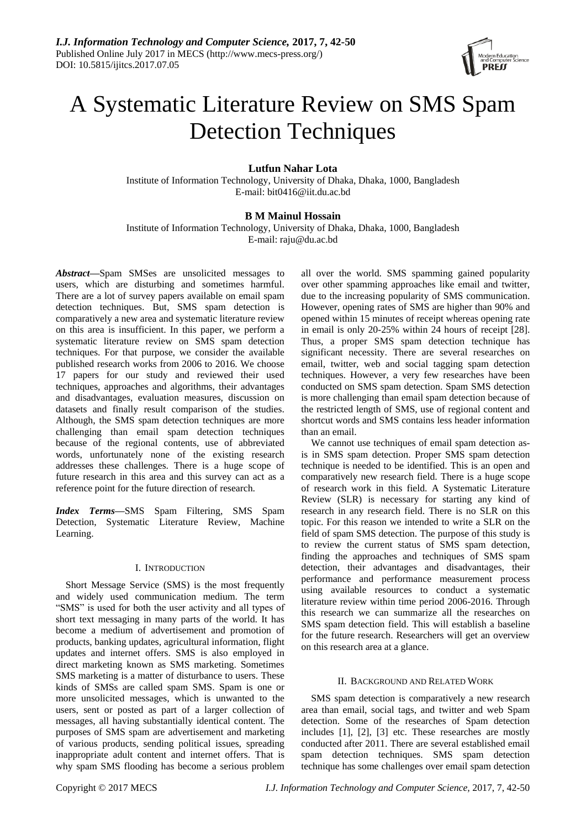

# A Systematic Literature Review on SMS Spam Detection Techniques

# **Lutfun Nahar Lota**

Institute of Information Technology, University of Dhaka, Dhaka, 1000, Bangladesh E-mail: bit0416@iit.du.ac.bd

# **B M Mainul Hossain**

Institute of Information Technology, University of Dhaka, Dhaka, 1000, Bangladesh E-mail: raju@du.ac.bd

*Abstract***—**Spam SMSes are unsolicited messages to users, which are disturbing and sometimes harmful. There are a lot of survey papers available on email spam detection techniques. But, SMS spam detection is comparatively a new area and systematic literature review on this area is insufficient. In this paper, we perform a systematic literature review on SMS spam detection techniques. For that purpose, we consider the available published research works from 2006 to 2016. We choose 17 papers for our study and reviewed their used techniques, approaches and algorithms, their advantages and disadvantages, evaluation measures, discussion on datasets and finally result comparison of the studies. Although, the SMS spam detection techniques are more challenging than email spam detection techniques because of the regional contents, use of abbreviated words, unfortunately none of the existing research addresses these challenges. There is a huge scope of future research in this area and this survey can act as a reference point for the future direction of research.

*Index Terms***—**SMS Spam Filtering, SMS Spam Detection, Systematic Literature Review, Machine Learning.

# I. INTRODUCTION

Short Message Service (SMS) is the most frequently and widely used communication medium. The term "SMS" is used for both the user activity and all types of short text messaging in many parts of the world. It has become a medium of advertisement and promotion of products, banking updates, agricultural information, flight updates and internet offers. SMS is also employed in direct marketing known as SMS marketing. Sometimes SMS marketing is a matter of disturbance to users. These kinds of SMSs are called spam SMS. Spam is one or more unsolicited messages, which is unwanted to the users, sent or posted as part of a larger collection of messages, all having substantially identical content. The purposes of SMS spam are advertisement and marketing of various products, sending political issues, spreading inappropriate adult content and internet offers. That is why spam SMS flooding has become a serious problem all over the world. SMS spamming gained popularity over other spamming approaches like email and twitter, due to the increasing popularity of SMS communication. However, opening rates of SMS are higher than 90% and opened within 15 minutes of receipt whereas opening rate in email is only 20-25% within 24 hours of receipt [28]. Thus, a proper SMS spam detection technique has significant necessity. There are several researches on email, twitter, web and social tagging spam detection techniques. However, a very few researches have been conducted on SMS spam detection. Spam SMS detection is more challenging than email spam detection because of the restricted length of SMS, use of regional content and shortcut words and SMS contains less header information than an email.

We cannot use techniques of email spam detection asis in SMS spam detection. Proper SMS spam detection technique is needed to be identified. This is an open and comparatively new research field. There is a huge scope of research work in this field. A Systematic Literature Review (SLR) is necessary for starting any kind of research in any research field. There is no SLR on this topic. For this reason we intended to write a SLR on the field of spam SMS detection. The purpose of this study is to review the current status of SMS spam detection, finding the approaches and techniques of SMS spam detection, their advantages and disadvantages, their performance and performance measurement process using available resources to conduct a systematic literature review within time period 2006-2016. Through this research we can summarize all the researches on SMS spam detection field. This will establish a baseline for the future research. Researchers will get an overview on this research area at a glance.

# II. BACKGROUND AND RELATED WORK

SMS spam detection is comparatively a new research area than email, social tags, and twitter and web Spam detection. Some of the researches of Spam detection includes [1], [2], [3] etc. These researches are mostly conducted after 2011. There are several established email spam detection techniques. SMS spam detection technique has some challenges over email spam detection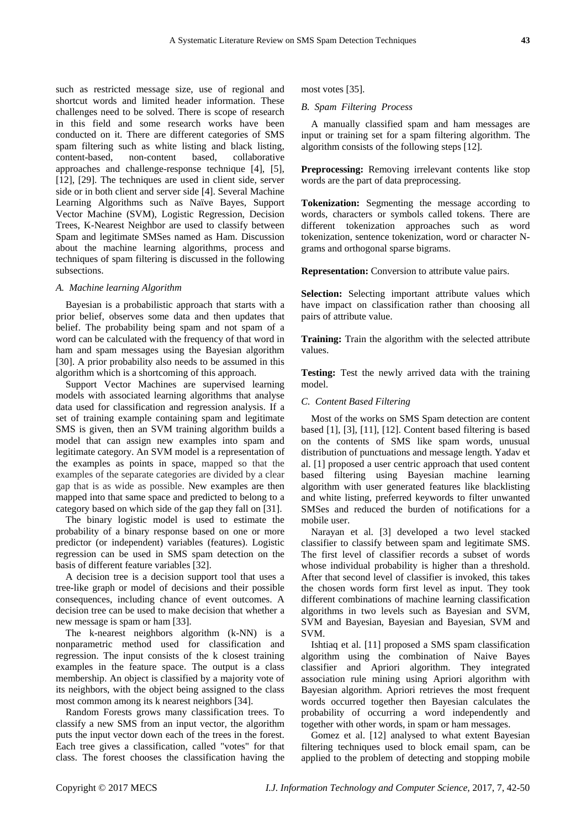such as restricted message size, use of regional and shortcut words and limited header information. These challenges need to be solved. There is scope of research in this field and some research works have been conducted on it. There are different categories of SMS spam filtering such as white listing and black listing, content-based, non-content based, collaborative approaches and challenge-response technique [4], [5], [12], [29]. The techniques are used in client side, server side or in both client and server side [4]. Several Machine Learning Algorithms such as Naïve Bayes, Support Vector Machine (SVM), Logistic Regression, Decision Trees, K-Nearest Neighbor are used to classify between Spam and legitimate SMSes named as Ham. Discussion about the machine learning algorithms, process and techniques of spam filtering is discussed in the following subsections.

#### *A. Machine learning Algorithm*

Bayesian is a probabilistic approach that starts with a prior belief, observes some data and then updates that belief. The probability being spam and not spam of a word can be calculated with the frequency of that word in ham and spam messages using the Bayesian algorithm [30]. A prior probability also needs to be assumed in this algorithm which is a shortcoming of this approach.

Support Vector Machines are supervised learning models with associated learning algorithms that analyse data used for classification and regression analysis. If a set of training example containing spam and legitimate SMS is given, then an SVM training algorithm builds a model that can assign new examples into spam and legitimate category. An SVM model is a representation of the examples as points in space, mapped so that the examples of the separate categories are divided by a clear gap that is as wide as possible. New examples are then mapped into that same space and predicted to belong to a category based on which side of the gap they fall on [31].

The binary logistic model is used to estimate the probability of a binary response based on one or more predictor (or independent) variables (features). Logistic regression can be used in SMS spam detection on the basis of different feature variables [32].

A decision tree is a decision support tool that uses a tree-like graph or model of decisions and their possible consequences, including chance of event outcomes. A decision tree can be used to make decision that whether a new message is spam or ham [33].

The k-nearest neighbors algorithm (k-NN) is a nonparametric method used for classification and regression. The input consists of the k closest training examples in the feature space. The output is a class membership. An object is classified by a majority vote of its neighbors, with the object being assigned to the class most common among its k nearest neighbors [34].

Random Forests grows many classification trees. To classify a new SMS from an input vector, the algorithm puts the input vector down each of the trees in the forest. Each tree gives a classification, called "votes" for that class. The forest chooses the classification having the

most votes [35].

# *B. Spam Filtering Process*

A manually classified spam and ham messages are input or training set for a spam filtering algorithm. The algorithm consists of the following steps [12].

**Preprocessing:** Removing irrelevant contents like stop words are the part of data preprocessing.

**Tokenization:** Segmenting the message according to words, characters or symbols called tokens. There are different tokenization approaches such as word tokenization, sentence tokenization, word or character Ngrams and orthogonal sparse bigrams.

**Representation:** Conversion to attribute value pairs.

**Selection:** Selecting important attribute values which have impact on classification rather than choosing all pairs of attribute value.

**Training:** Train the algorithm with the selected attribute values.

**Testing:** Test the newly arrived data with the training model.

#### *C. Content Based Filtering*

Most of the works on SMS Spam detection are content based [1], [3], [11], [12]. Content based filtering is based on the contents of SMS like spam words, unusual distribution of punctuations and message length. Yadav et al. [1] proposed a user centric approach that used content based filtering using Bayesian machine learning algorithm with user generated features like blacklisting and white listing, preferred keywords to filter unwanted SMSes and reduced the burden of notifications for a mobile user.

Narayan et al. [3] developed a two level stacked classifier to classify between spam and legitimate SMS. The first level of classifier records a subset of words whose individual probability is higher than a threshold. After that second level of classifier is invoked, this takes the chosen words form first level as input. They took different combinations of machine learning classification algorithms in two levels such as Bayesian and SVM, SVM and Bayesian, Bayesian and Bayesian, SVM and SVM.

Ishtiaq et al. [11] proposed a SMS spam classification algorithm using the combination of Naive Bayes classifier and Apriori algorithm. They integrated association rule mining using Apriori algorithm with Bayesian algorithm. Apriori retrieves the most frequent words occurred together then Bayesian calculates the probability of occurring a word independently and together with other words, in spam or ham messages.

Gomez et al. [12] analysed to what extent Bayesian filtering techniques used to block email spam, can be applied to the problem of detecting and stopping mobile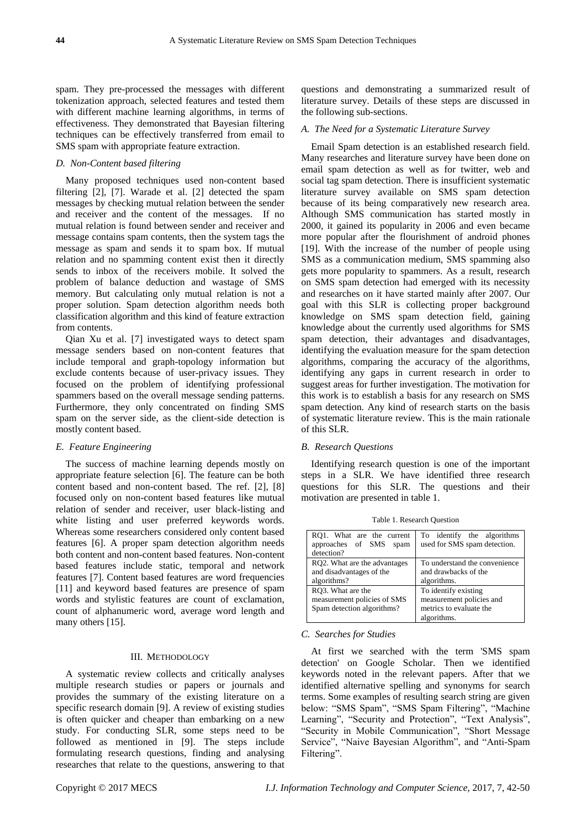spam. They pre-processed the messages with different tokenization approach, selected features and tested them with different machine learning algorithms, in terms of effectiveness. They demonstrated that Bayesian filtering techniques can be effectively transferred from email to SMS spam with appropriate feature extraction.

# *D. Non-Content based filtering*

Many proposed techniques used non-content based filtering [2], [7]. Warade et al. [2] detected the spam messages by checking mutual relation between the sender and receiver and the content of the messages. If no mutual relation is found between sender and receiver and message contains spam contents, then the system tags the message as spam and sends it to spam box. If mutual relation and no spamming content exist then it directly sends to inbox of the receivers mobile. It solved the problem of balance deduction and wastage of SMS memory. But calculating only mutual relation is not a proper solution. Spam detection algorithm needs both classification algorithm and this kind of feature extraction from contents.

Qian Xu et al. [7] investigated ways to detect spam message senders based on non-content features that include temporal and graph-topology information but exclude contents because of user-privacy issues. They focused on the problem of identifying professional spammers based on the overall message sending patterns. Furthermore, they only concentrated on finding SMS spam on the server side, as the client-side detection is mostly content based.

## *E. Feature Engineering*

The success of machine learning depends mostly on appropriate feature selection [6]. The feature can be both content based and non-content based. The ref. [2], [8] focused only on non-content based features like mutual relation of sender and receiver, user black-listing and white listing and user preferred keywords words. Whereas some researchers considered only content based features [6]. A proper spam detection algorithm needs both content and non-content based features. Non-content based features include static, temporal and network features [7]. Content based features are word frequencies [11] and keyword based features are presence of spam words and stylistic features are count of exclamation, count of alphanumeric word, average word length and many others [15].

#### III. METHODOLOGY

A systematic review collects and critically analyses multiple research studies or papers or journals and provides the summary of the existing literature on a specific research domain [9]. A review of existing studies is often quicker and cheaper than embarking on a new study. For conducting SLR, some steps need to be followed as mentioned in [9]. The steps include formulating research questions, finding and analysing researches that relate to the questions, answering to that

questions and demonstrating a summarized result of literature survey. Details of these steps are discussed in the following sub-sections.

#### *A. The Need for a Systematic Literature Survey*

Email Spam detection is an established research field. Many researches and literature survey have been done on email spam detection as well as for twitter, web and social tag spam detection. There is insufficient systematic literature survey available on SMS spam detection because of its being comparatively new research area. Although SMS communication has started mostly in 2000, it gained its popularity in 2006 and even became more popular after the flourishment of android phones [19]. With the increase of the number of people using SMS as a communication medium, SMS spamming also gets more popularity to spammers. As a result, research on SMS spam detection had emerged with its necessity and researches on it have started mainly after 2007. Our goal with this SLR is collecting proper background knowledge on SMS spam detection field, gaining knowledge about the currently used algorithms for SMS spam detection, their advantages and disadvantages, identifying the evaluation measure for the spam detection algorithms, comparing the accuracy of the algorithms, identifying any gaps in current research in order to suggest areas for further investigation. The motivation for this work is to establish a basis for any research on SMS spam detection. Any kind of research starts on the basis of systematic literature review. This is the main rationale of this SLR.

#### *B. Research Questions*

Identifying research question is one of the important steps in a SLR. We have identified three research questions for this SLR. The questions and their motivation are presented in table 1.

Table 1. Research Question

| RO1. What are the current<br>approaches of SMS spam<br>detection?              | To identify the algorithms<br>used for SMS spam detection.                                 |
|--------------------------------------------------------------------------------|--------------------------------------------------------------------------------------------|
| RQ2. What are the advantages<br>and disadvantages of the<br>algorithms?        | To understand the convenience<br>and drawbacks of the<br>algorithms.                       |
| RO3. What are the<br>measurement policies of SMS<br>Spam detection algorithms? | To identify existing<br>measurement policies and<br>metrics to evaluate the<br>algorithms. |

## *C. Searches for Studies*

At first we searched with the term 'SMS spam detection' on Google Scholar. Then we identified keywords noted in the relevant papers. After that we identified alternative spelling and synonyms for search terms. Some examples of resulting search string are given below: "SMS Spam", "SMS Spam Filtering", "Machine Learning", "Security and Protection", "Text Analysis", "Security in Mobile Communication", "Short Message Service", "Naive Bayesian Algorithm", and "Anti-Spam Filtering".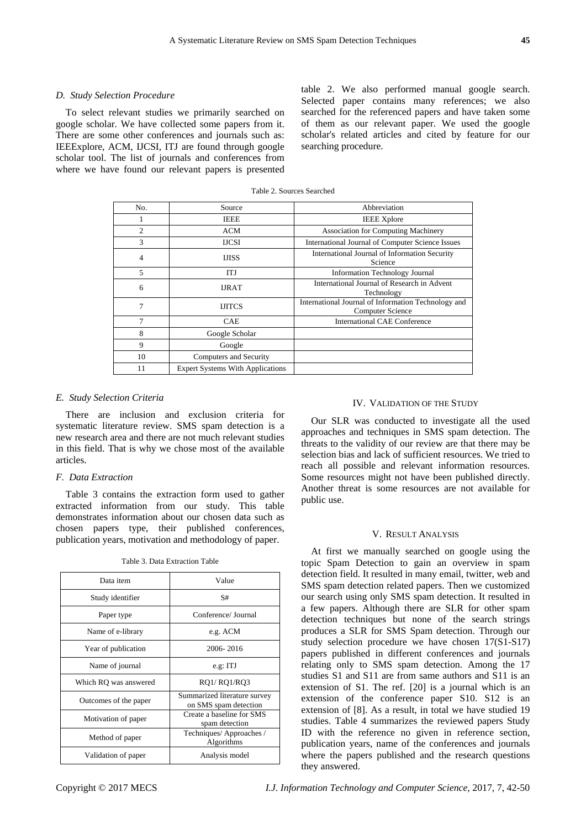# *D. Study Selection Procedure*

To select relevant studies we primarily searched on google scholar. We have collected some papers from it. There are some other conferences and journals such as: IEEExplore, ACM, IJCSI, ITJ are found through google scholar tool. The list of journals and conferences from where we have found our relevant papers is presented table 2. We also performed manual google search. Selected paper contains many references; we also searched for the referenced papers and have taken some of them as our relevant paper. We used the google scholar's related articles and cited by feature for our searching procedure.

| No.            | Source                                  | Abbreviation                                                            |
|----------------|-----------------------------------------|-------------------------------------------------------------------------|
|                | <b>IEEE</b>                             | <b>IEEE</b> Xplore                                                      |
| $\overline{c}$ | <b>ACM</b>                              | <b>Association for Computing Machinery</b>                              |
| 3              | <b>IJCSI</b>                            | International Journal of Computer Science Issues                        |
| 4              | <b>IJISS</b>                            | International Journal of Information Security<br>Science                |
| 5              | <b>ITJ</b>                              | <b>Information Technology Journal</b>                                   |
| 6              | <b>URAT</b>                             | International Journal of Research in Advent<br>Technology               |
| 7              | <b>IJITCS</b>                           | International Journal of Information Technology and<br>Computer Science |
| 7              | CAE                                     | <b>International CAE Conference</b>                                     |
| 8              | Google Scholar                          |                                                                         |
| 9              | Google                                  |                                                                         |
| 10             | Computers and Security                  |                                                                         |
| 11             | <b>Expert Systems With Applications</b> |                                                                         |

#### Table 2. Sources Searched

#### *E. Study Selection Criteria*

There are inclusion and exclusion criteria for systematic literature review. SMS spam detection is a new research area and there are not much relevant studies in this field. That is why we chose most of the available articles.

#### *F. Data Extraction*

Table 3 contains the extraction form used to gather extracted information from our study. This table demonstrates information about our chosen data such as chosen papers type, their published conferences, publication years, motivation and methodology of paper.

| Data item             | Value                                                 |  |
|-----------------------|-------------------------------------------------------|--|
| Study identifier      | S#                                                    |  |
| Paper type            | Conference/ Journal                                   |  |
| Name of e-library     | e.g. ACM                                              |  |
| Year of publication   | 2006-2016                                             |  |
| Name of journal       | e.g. ITJ                                              |  |
| Which RO was answered | RO1/RO1/RO3                                           |  |
| Outcomes of the paper | Summarized literature survey<br>on SMS spam detection |  |
| Motivation of paper   | Create a baseline for SMS<br>spam detection           |  |
| Method of paper       | Techniques/Approaches/<br>Algorithms                  |  |
| Validation of paper   | Analysis model                                        |  |

Table 3. Data Extraction Table

#### IV. VALIDATION OF THE STUDY

Our SLR was conducted to investigate all the used approaches and techniques in SMS spam detection. The threats to the validity of our review are that there may be selection bias and lack of sufficient resources. We tried to reach all possible and relevant information resources. Some resources might not have been published directly. Another threat is some resources are not available for public use.

# V. RESULT ANALYSIS

At first we manually searched on google using the topic Spam Detection to gain an overview in spam detection field. It resulted in many email, twitter, web and SMS spam detection related papers. Then we customized our search using only SMS spam detection. It resulted in a few papers. Although there are SLR for other spam detection techniques but none of the search strings produces a SLR for SMS Spam detection. Through our study selection procedure we have chosen 17(S1-S17) papers published in different conferences and journals relating only to SMS spam detection. Among the 17 studies S1 and S11 are from same authors and S11 is an extension of S1. The ref. [20] is a journal which is an extension of the conference paper S10. S12 is an extension of [8]. As a result, in total we have studied 19 studies. Table 4 summarizes the reviewed papers Study ID with the reference no given in reference section, publication years, name of the conferences and journals where the papers published and the research questions they answered.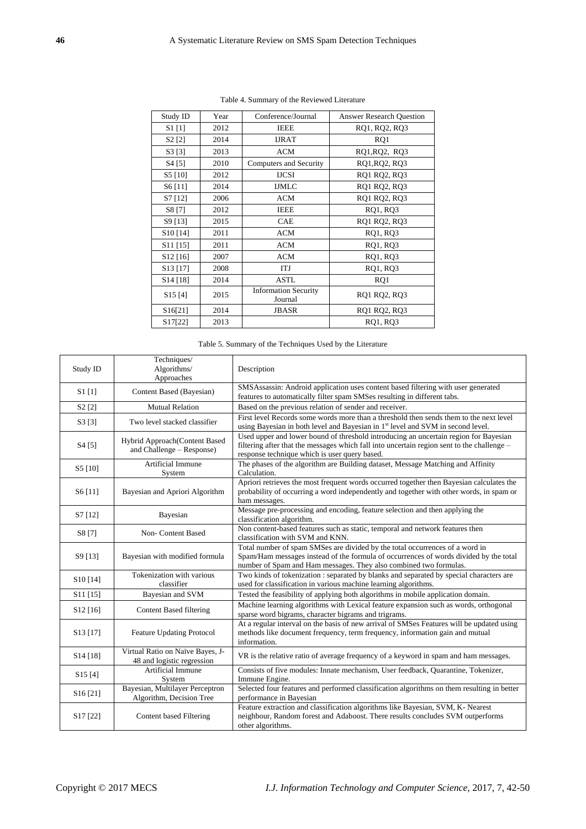| Study ID                          | Year | Conference/Journal<br><b>Answer Research Question</b> |               |  |
|-----------------------------------|------|-------------------------------------------------------|---------------|--|
| $S1$ [1]                          | 2012 | <b>IEEE</b>                                           | RQ1, RQ2, RQ3 |  |
| S <sub>2</sub> [2]                | 2014 | <b>IJRAT</b>                                          | RQ1           |  |
| S3[3]                             | 2013 | <b>ACM</b>                                            | RQ1, RQ2, RQ3 |  |
| S <sub>4</sub> [5]                | 2010 | Computers and Security                                | RQ1, RQ2, RQ3 |  |
| S5 [10]                           | 2012 | <b>IJCSI</b>                                          | RQ1 RQ2, RQ3  |  |
| S6[11]                            | 2014 | <b>IJMLC</b>                                          | RQ1 RQ2, RQ3  |  |
| S7 [12]                           | 2006 | <b>ACM</b>                                            | RQ1 RQ2, RQ3  |  |
| S8 [7]                            | 2012 | <b>IEEE</b>                                           | RQ1, RQ3      |  |
| S9 [13]                           | 2015 | <b>CAE</b>                                            | RQ1 RQ2, RQ3  |  |
| S <sub>10</sub> [14]              | 2011 | <b>ACM</b>                                            | RQ1, RQ3      |  |
| $S11$ [15]                        | 2011 | <b>ACM</b><br>RQ1, RQ3                                |               |  |
| $S12$ [16]                        | 2007 | <b>ACM</b><br>RQ1, RQ3                                |               |  |
| S <sub>13</sub> [17]              | 2008 | ITJ                                                   | RQ1, RQ3      |  |
| $S14$ [18]                        | 2014 | ASTL                                                  | RQ1           |  |
| S15[4]                            | 2015 | <b>Information Security</b><br>Journal                | RQ1 RQ2, RQ3  |  |
| S <sub>16</sub> [2 <sub>1</sub> ] | 2014 | <b>JBASR</b>                                          | RQ1 RQ2, RQ3  |  |
| S17[22]                           | 2013 |                                                       | RQ1, RQ3      |  |
|                                   |      |                                                       |               |  |

Table 4. Summary of the Reviewed Literature

Table 5. Summary of the Techniques Used by the Literature

| Study ID                          | Techniques/<br>Algorithms/<br>Approaches                       | Description                                                                                                                                                                                                                                |  |  |
|-----------------------------------|----------------------------------------------------------------|--------------------------------------------------------------------------------------------------------------------------------------------------------------------------------------------------------------------------------------------|--|--|
| S1[1]                             | Content Based (Bayesian)                                       | SMSAssassin: Android application uses content based filtering with user generated<br>features to automatically filter spam SMSes resulting in different tabs.                                                                              |  |  |
| S2 [2]                            | <b>Mutual Relation</b>                                         | Based on the previous relation of sender and receiver.                                                                                                                                                                                     |  |  |
| S3[3]                             | Two level stacked classifier                                   | First level Records some words more than a threshold then sends them to the next level<br>using Bayesian in both level and Bayesian in 1 <sup>st</sup> level and SVM in second level.                                                      |  |  |
| S <sub>4</sub> [5]                | Hybrid Approach(Content Based<br>and Challenge – Response)     | Used upper and lower bound of threshold introducing an uncertain region for Bayesian<br>filtering after that the messages which fall into uncertain region sent to the challenge –<br>response technique which is user query based.        |  |  |
| S5 [10]                           | Artificial Immune<br>System                                    | The phases of the algorithm are Building dataset, Message Matching and Affinity<br>Calculation.                                                                                                                                            |  |  |
| S6[11]                            | Bayesian and Apriori Algorithm                                 | Apriori retrieves the most frequent words occurred together then Bayesian calculates the<br>probability of occurring a word independently and together with other words, in spam or<br>ham messages.                                       |  |  |
| S7 [12]                           | Bayesian                                                       | Message pre-processing and encoding, feature selection and then applying the<br>classification algorithm.                                                                                                                                  |  |  |
| S8 [7]                            | Non- Content Based                                             | Non content-based features such as static, temporal and network features then<br>classification with SVM and KNN.                                                                                                                          |  |  |
| S9 [13]                           | Bayesian with modified formula                                 | Total number of spam SMSes are divided by the total occurrences of a word in<br>Spam/Ham messages instead of the formula of occurrences of words divided by the total<br>number of Spam and Ham messages. They also combined two formulas. |  |  |
| S <sub>10</sub> [14]              | Tokenization with various<br>classifier                        | Two kinds of tokenization : separated by blanks and separated by special characters are<br>used for classification in various machine learning algorithms.                                                                                 |  |  |
| S11 [15]                          | Bayesian and SVM                                               | Tested the feasibility of applying both algorithms in mobile application domain.                                                                                                                                                           |  |  |
| S <sub>12</sub> [16]              | <b>Content Based filtering</b>                                 | Machine learning algorithms with Lexical feature expansion such as words, orthogonal<br>sparse word bigrams, character bigrams and trigrams.                                                                                               |  |  |
| S <sub>13</sub> [17]              | <b>Feature Updating Protocol</b>                               | At a regular interval on the basis of new arrival of SMSes Features will be updated using<br>methods like document frequency, term frequency, information gain and mutual<br>information.                                                  |  |  |
| S <sub>14</sub> [18]              | Virtual Ratio on Na ve Bayes, J-<br>48 and logistic regression | VR is the relative ratio of average frequency of a keyword in spam and ham messages.                                                                                                                                                       |  |  |
| S <sub>15</sub> [4]               | Artificial Immune<br>System                                    | Consists of five modules: Innate mechanism, User feedback, Quarantine, Tokenizer,<br>Immune Engine.                                                                                                                                        |  |  |
| S16[21]                           | Bayesian, Multilayer Perceptron<br>Algorithm, Decision Tree    | Selected four features and performed classification algorithms on them resulting in better<br>performance in Bayesian                                                                                                                      |  |  |
| S <sub>17</sub> [2 <sub>2</sub> ] | Content based Filtering                                        | Feature extraction and classification algorithms like Bayesian, SVM, K- Nearest<br>neighbour, Random forest and Adaboost. There results concludes SVM outperforms<br>other algorithms.                                                     |  |  |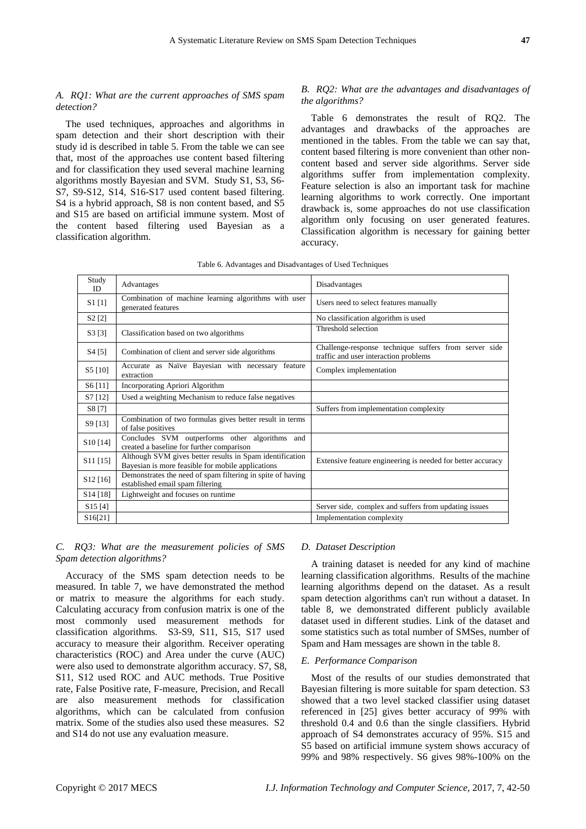# *A. RQ1: What are the current approaches of SMS spam detection?*

The used techniques, approaches and algorithms in spam detection and their short description with their study id is described in table 5. From the table we can see that, most of the approaches use content based filtering and for classification they used several machine learning algorithms mostly Bayesian and SVM. Study S1, S3, S6- S7, S9-S12, S14, S16-S17 used content based filtering. S4 is a hybrid approach, S8 is non content based, and S5 and S15 are based on artificial immune system. Most of the content based filtering used Bayesian as a classification algorithm.

# *B. RQ2: What are the advantages and disadvantages of the algorithms?*

Table 6 demonstrates the result of RQ2. The advantages and drawbacks of the approaches are mentioned in the tables. From the table we can say that, content based filtering is more convenient than other noncontent based and server side algorithms. Server side algorithms suffer from implementation complexity. Feature selection is also an important task for machine learning algorithms to work correctly. One important drawback is, some approaches do not use classification algorithm only focusing on user generated features. Classification algorithm is necessary for gaining better accuracy.

| Study<br>ID                      | Advantages                                                                                                    | Disadvantages                                                                                  |  |
|----------------------------------|---------------------------------------------------------------------------------------------------------------|------------------------------------------------------------------------------------------------|--|
| $S1$ [1]                         | Combination of machine learning algorithms with user<br>generated features                                    | Users need to select features manually                                                         |  |
| S <sub>2</sub> [2]               |                                                                                                               | No classification algorithm is used                                                            |  |
| S3[3]                            | Classification based on two algorithms                                                                        | Threshold selection                                                                            |  |
| S4 [5]                           | Combination of client and server side algorithms                                                              | Challenge-response technique suffers from server side<br>traffic and user interaction problems |  |
| S5 [10]                          | Accurate as Na ve Bayesian with necessary feature<br>extraction                                               | Complex implementation                                                                         |  |
| S6 [11]                          | Incorporating Apriori Algorithm                                                                               |                                                                                                |  |
| S7 [12]                          | Used a weighting Mechanism to reduce false negatives                                                          |                                                                                                |  |
| S8 [7]                           |                                                                                                               | Suffers from implementation complexity                                                         |  |
| S9 [13]                          | Combination of two formulas gives better result in terms<br>of false positives                                |                                                                                                |  |
| S <sub>10</sub> [14]             | Concludes SVM outperforms other algorithms and<br>created a baseline for further comparison                   |                                                                                                |  |
| $S11$ [15]                       | Although SVM gives better results in Spam identification<br>Bayesian is more feasible for mobile applications | Extensive feature engineering is needed for better accuracy                                    |  |
| S <sub>12</sub> [16]             | Demonstrates the need of spam filtering in spite of having<br>established email spam filtering                |                                                                                                |  |
| S <sub>14</sub> [18]             | Lightweight and focuses on runtime                                                                            |                                                                                                |  |
| S15[4]                           |                                                                                                               | Server side, complex and suffers from updating issues                                          |  |
| S <sub>16</sub> [2 <sub>1]</sub> |                                                                                                               | Implementation complexity                                                                      |  |

# *C. RQ3: What are the measurement policies of SMS Spam detection algorithms?*

Accuracy of the SMS spam detection needs to be measured. In table 7, we have demonstrated the method or matrix to measure the algorithms for each study. Calculating accuracy from confusion matrix is one of the most commonly used measurement methods for classification algorithms. S3-S9, S11, S15, S17 used accuracy to measure their algorithm. Receiver operating characteristics (ROC) and Area under the curve (AUC) were also used to demonstrate algorithm accuracy. S7, S8, S11, S12 used ROC and AUC methods. True Positive rate, False Positive rate, F-measure, Precision, and Recall are also measurement methods for classification algorithms, which can be calculated from confusion matrix. Some of the studies also used these measures. S2 and S14 do not use any evaluation measure.

# *D. Dataset Description*

A training dataset is needed for any kind of machine learning classification algorithms. Results of the machine learning algorithms depend on the dataset. As a result spam detection algorithms can't run without a dataset. In table 8, we demonstrated different publicly available dataset used in different studies. Link of the dataset and some statistics such as total number of SMSes, number of Spam and Ham messages are shown in the table 8.

# *E. Performance Comparison*

Most of the results of our studies demonstrated that Bayesian filtering is more suitable for spam detection. S3 showed that a two level stacked classifier using dataset referenced in [25] gives better accuracy of 99% with threshold 0.4 and 0.6 than the single classifiers. Hybrid approach of S4 demonstrates accuracy of 95%. S15 and S5 based on artificial immune system shows accuracy of 99% and 98% respectively. S6 gives 98%-100% on the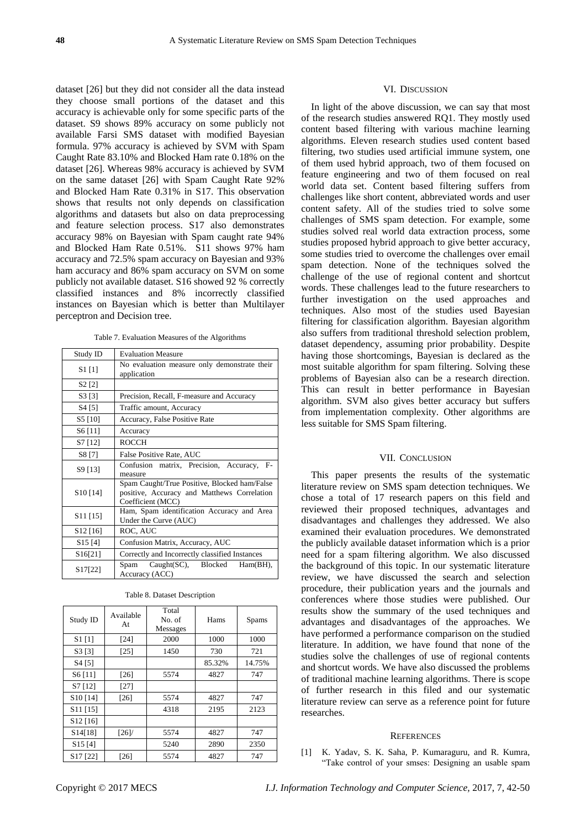dataset [26] but they did not consider all the data instead they choose small portions of the dataset and this accuracy is achievable only for some specific parts of the dataset. S9 shows 89% accuracy on some publicly not available Farsi SMS dataset with modified Bayesian formula. 97% accuracy is achieved by SVM with Spam Caught Rate 83.10% and Blocked Ham rate 0.18% on the dataset [26]. Whereas 98% accuracy is achieved by SVM on the same dataset [26] with Spam Caught Rate 92% and Blocked Ham Rate 0.31% in S17. This observation shows that results not only depends on classification algorithms and datasets but also on data preprocessing and feature selection process. S17 also demonstrates accuracy 98% on Bayesian with Spam caught rate 94% and Blocked Ham Rate 0.51%. S11 shows 97% ham accuracy and 72.5% spam accuracy on Bayesian and 93% ham accuracy and 86% spam accuracy on SVM on some publicly not available dataset. S16 showed 92 % correctly classified instances and 8% incorrectly classified instances on Bayesian which is better than Multilayer perceptron and Decision tree.

Table 7. Evaluation Measures of the Algorithms

| Study ID             | <b>Evaluation Measure</b>                                                                                        |  |  |
|----------------------|------------------------------------------------------------------------------------------------------------------|--|--|
| $S1$ [1]             | No evaluation measure only demonstrate their<br>application                                                      |  |  |
| S <sub>2</sub> [2]   |                                                                                                                  |  |  |
| S <sub>3</sub> [3]   | Precision, Recall, F-measure and Accuracy                                                                        |  |  |
| S4 [5]               | Traffic amount, Accuracy                                                                                         |  |  |
| S5 [10]              | Accuracy, False Positive Rate                                                                                    |  |  |
| S6[11]               | Accuracy                                                                                                         |  |  |
| S7 [12]              | <b>ROCCH</b>                                                                                                     |  |  |
| S8 [7]               | False Positive Rate, AUC                                                                                         |  |  |
| S9 [13]              | Confusion matrix, Precision, Accuracy,<br>$F-$<br>measure                                                        |  |  |
| S <sub>10</sub> [14] | Spam Caught/True Positive, Blocked ham/False<br>positive, Accuracy and Matthews Correlation<br>Coefficient (MCC) |  |  |
| S <sub>11</sub> [15] | Ham, Spam identification Accuracy and Area<br>Under the Curve (AUC)                                              |  |  |
| S <sub>12</sub> [16] | ROC, AUC                                                                                                         |  |  |
| S <sub>15</sub> [4]  | Confusion Matrix, Accuracy, AUC                                                                                  |  |  |
| S16[21]              | Correctly and Incorrectly classified Instances                                                                   |  |  |
| S <sub>17</sub> [22] | $Caught(SC)$ , Blocked<br>Spam<br>$Ham(BH)$ .<br>Accuracy (ACC)                                                  |  |  |

| Study ID                          | Available<br>At | Total<br>No. of<br><b>Messages</b> | Hams   | Spams  |
|-----------------------------------|-----------------|------------------------------------|--------|--------|
| $S1$ [1]                          | [24]            | 2000                               | 1000   | 1000   |
| S3 [3]                            | [25]            | 1450                               | 730    | 721    |
| S4 [5]                            |                 |                                    | 85.32% | 14.75% |
| S6[11]                            | [26]            | 5574                               | 4827   | 747    |
| S7 [12]                           | [27]            |                                    |        |        |
| S <sub>10</sub> [14]              | [26]            | 5574                               | 4827   | 747    |
| S <sub>11</sub> [15]              |                 | 4318                               | 2195   | 2123   |
| S <sub>12</sub> [16]              |                 |                                    |        |        |
| S14[18]                           | [26]            | 5574                               | 4827   | 747    |
| S15[4]                            |                 | 5240                               | 2890   | 2350   |
| S <sub>17</sub> [2 <sub>2</sub> ] | [26]            | 5574                               | 4827   | 747    |

|  |  | Table 8. Dataset Description |  |  |
|--|--|------------------------------|--|--|
|--|--|------------------------------|--|--|

## VI. DISCUSSION

In light of the above discussion, we can say that most of the research studies answered RQ1. They mostly used content based filtering with various machine learning algorithms. Eleven research studies used content based filtering, two studies used artificial immune system, one of them used hybrid approach, two of them focused on feature engineering and two of them focused on real world data set. Content based filtering suffers from challenges like short content, abbreviated words and user content safety. All of the studies tried to solve some challenges of SMS spam detection. For example, some studies solved real world data extraction process, some studies proposed hybrid approach to give better accuracy, some studies tried to overcome the challenges over email spam detection. None of the techniques solved the challenge of the use of regional content and shortcut words. These challenges lead to the future researchers to further investigation on the used approaches and techniques. Also most of the studies used Bayesian filtering for classification algorithm. Bayesian algorithm also suffers from traditional threshold selection problem, dataset dependency, assuming prior probability. Despite having those shortcomings, Bayesian is declared as the most suitable algorithm for spam filtering. Solving these problems of Bayesian also can be a research direction. This can result in better performance in Bayesian algorithm. SVM also gives better accuracy but suffers from implementation complexity. Other algorithms are less suitable for SMS Spam filtering.

#### VII. CONCLUSION

This paper presents the results of the systematic literature review on SMS spam detection techniques. We chose a total of 17 research papers on this field and reviewed their proposed techniques, advantages and disadvantages and challenges they addressed. We also examined their evaluation procedures. We demonstrated the publicly available dataset information which is a prior need for a spam filtering algorithm. We also discussed the background of this topic. In our systematic literature review, we have discussed the search and selection procedure, their publication years and the journals and conferences where those studies were published. Our results show the summary of the used techniques and advantages and disadvantages of the approaches. We have performed a performance comparison on the studied literature. In addition, we have found that none of the studies solve the challenges of use of regional contents and shortcut words. We have also discussed the problems of traditional machine learning algorithms. There is scope of further research in this filed and our systematic literature review can serve as a reference point for future researches.

#### **REFERENCES**

[1] K. Yadav, S. K. Saha, P. Kumaraguru, and R. Kumra, "Take control of your smses: Designing an usable spam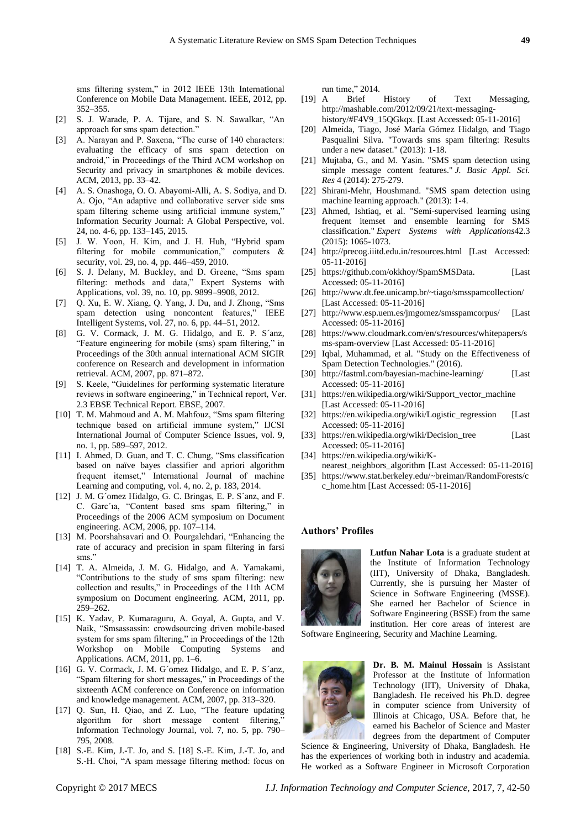sms filtering system," in 2012 IEEE 13th International Conference on Mobile Data Management. IEEE, 2012, pp. 352–355.

- [2] S. J. Warade, P. A. Tijare, and S. N. Sawalkar, "An approach for sms spam detection."
- [3] A. Narayan and P. Saxena, "The curse of 140 characters: evaluating the efficacy of sms spam detection on android," in Proceedings of the Third ACM workshop on Security and privacy in smartphones & mobile devices. ACM, 2013, pp. 33–42.
- [4] A. S. Onashoga, O. O. Abayomi-Alli, A. S. Sodiya, and D. A. Ojo, "An adaptive and collaborative server side sms spam filtering scheme using artificial immune system," Information Security Journal: A Global Perspective, vol. 24, no. 4-6, pp. 133–145, 2015.
- [5] J. W. Yoon, H. Kim, and J. H. Huh, "Hybrid spam filtering for mobile communication," computers  $\&$ security, vol. 29, no. 4, pp. 446–459, 2010.
- [6] S. J. Delany, M. Buckley, and D. Greene, "Sms spam filtering: methods and data," Expert Systems with Applications, vol. 39, no. 10, pp. 9899–9908, 2012.
- [7] Q. Xu, E. W. Xiang, Q. Yang, J. Du, and J. Zhong, "Sms spam detection using noncontent features," IEEE Intelligent Systems, vol. 27, no. 6, pp. 44–51, 2012.
- [8] G. V. Cormack, J. M. G. Hidalgo, and E. P. S anz, "Feature engineering for mobile (sms) spam filtering," in Proceedings of the 30th annual international ACM SIGIR conference on Research and development in information retrieval. ACM, 2007, pp. 871–872.
- [9] S. Keele, "Guidelines for performing systematic literature reviews in software engineering," in Technical report, Ver. 2.3 EBSE Technical Report. EBSE, 2007.
- [10] T. M. Mahmoud and A. M. Mahfouz, "Sms spam filtering technique based on artificial immune system," IJCSI International Journal of Computer Science Issues, vol. 9, no. 1, pp. 589–597, 2012.
- [11] I. Ahmed, D. Guan, and T. C. Chung, "Sms classification" based on naïve bayes classifier and apriori algorithm frequent itemset," International Journal of machine Learning and computing, vol. 4, no. 2, p. 183, 2014.
- [12] J. M. G ômez Hidalgo, G. C. Bringas, E. P. S ânz, and F. C. Garc´ıa, "Content based sms spam filtering," in Proceedings of the 2006 ACM symposium on Document engineering. ACM, 2006, pp. 107–114.
- [13] M. Poorshahsavari and O. Pourgalehdari, "Enhancing the rate of accuracy and precision in spam filtering in farsi sms."
- [14] T. A. Almeida, J. M. G. Hidalgo, and A. Yamakami, "Contributions to the study of sms spam filtering: new collection and results," in Proceedings of the 11th ACM symposium on Document engineering. ACM, 2011, pp. 259–262.
- [15] K. Yadav, P. Kumaraguru, A. Goyal, A. Gupta, and V. Naik, "Smsassassin: crowdsourcing driven mobile-based system for sms spam filtering," in Proceedings of the 12th Workshop on Mobile Computing Systems and Applications. ACM, 2011, pp. 1–6.
- [16] G. V. Cormack, J. M. G ómez Hidalgo, and E. P. S ánz, "Spam filtering for short messages," in Proceedings of the sixteenth ACM conference on Conference on information and knowledge management. ACM, 2007, pp. 313–320.
- [17] Q. Sun, H. Qiao, and Z. Luo, "The feature updating algorithm for short message content filtering,' Information Technology Journal, vol. 7, no. 5, pp. 790– 795, 2008.
- [18] S.-E. Kim, J.-T. Jo, and S. [18] S.-E. Kim, J.-T. Jo, and S.-H. Choi, "A spam message filtering method: focus on

run time," 2014.

- [19] A Brief History of Text Messaging, [http://mashable.com/2012/09/21/text-messaging](http://mashable.com/2012/09/21/text-messaging-history/#F4V9_15QGkqx)[history/#F4V9\\_15QGkqx.](http://mashable.com/2012/09/21/text-messaging-history/#F4V9_15QGkqx) [Last Accessed: 05-11-2016]
- [20] Almeida, Tiago, José Mar á Gómez Hidalgo, and Tiago Pasqualini Silva. "Towards sms spam filtering: Results under a new dataset." (2013): 1-18.
- [21] Mujtaba, G., and M. Yasin. "SMS spam detection using simple message content features." *J. Basic Appl. Sci. Res* 4 (2014): 275-279.
- [22] Shirani-Mehr, Houshmand. "SMS spam detection using machine learning approach." (2013): 1-4.
- [23] Ahmed, Ishtiaq, et al. "Semi-supervised learning using frequent itemset and ensemble learning for SMS classification." *Expert Systems with Applications*42.3 (2015): 1065-1073.
- [24] <http://precog.iiitd.edu.in/resources.html> [Last Accessed: 05-11-2016]
- [25] [https://github.com/okkhoy/SpamSMSData.](https://github.com/okkhoy/SpamSMSData) [Last Accessed: 05-11-2016]
- [26] <http://www.dt.fee.unicamp.br/~tiago/smsspamcollection/> [Last Accessed: 05-11-2016]
- [27] <http://www.esp.uem.es/jmgomez/smsspamcorpus/> [Last Accessed: 05-11-2016]
- [28] [https://www.cloudmark.com/en/s/resources/whitepapers/s](https://www.cloudmark.com/en/s/resources/whitepapers/sms-spam-overview) [ms-spam-overview](https://www.cloudmark.com/en/s/resources/whitepapers/sms-spam-overview) [Last Accessed: 05-11-2016]
- [29] Iqbal, Muhammad, et al. "Study on the Effectiveness of Spam Detection Technologies." (2016).
- [30] <http://fastml.com/bayesian-machine-learning/> [Last Accessed: 05-11-2016]
- [31] [https://en.wikipedia.org/wiki/Support\\_vector\\_machine](https://en.wikipedia.org/wiki/Support_vector_machine) [Last Accessed: 05-11-2016]
- [32] [https://en.wikipedia.org/wiki/Logistic\\_regression](https://en.wikipedia.org/wiki/Logistic_regression) [Last Accessed: 05-11-2016]
- [33] [https://en.wikipedia.org/wiki/Decision\\_tree](https://en.wikipedia.org/wiki/Decision_tree) [Last Accessed: 05-11-2016]
- [34] [https://en.wikipedia.org/wiki/K](https://en.wikipedia.org/wiki/K-nearest_neighbors_algorithm)[nearest\\_neighbors\\_algorithm](https://en.wikipedia.org/wiki/K-nearest_neighbors_algorithm) [Last Accessed: 05-11-2016]
- [35] [https://www.stat.berkeley.edu/~breiman/RandomForests/c](https://www.stat.berkeley.edu/~breiman/RandomForests/cc_home.htm) [c\\_home.htm](https://www.stat.berkeley.edu/~breiman/RandomForests/cc_home.htm) [Last Accessed: 05-11-2016]

#### **Authors' Profiles**



**Lutfun Nahar Lota** is a graduate student at the Institute of Information Technology (IIT), University of Dhaka, Bangladesh. Currently, she is pursuing her Master of Science in Software Engineering (MSSE). She earned her Bachelor of Science in Software Engineering (BSSE) from the same institution. Her core areas of interest are

Software Engineering, Security and Machine Learning.



**Dr. B. M. Mainul Hossain** is Assistant Professor at the Institute of Information Technology (IIT), University of Dhaka, Bangladesh. He received his Ph.D. degree in computer science from University of Illinois at Chicago, USA. Before that, he earned his Bachelor of Science and Master degrees from the department of Computer

Science & Engineering, University of Dhaka, Bangladesh. He has the experiences of working both in industry and academia. He worked as a Software Engineer in Microsoft Corporation